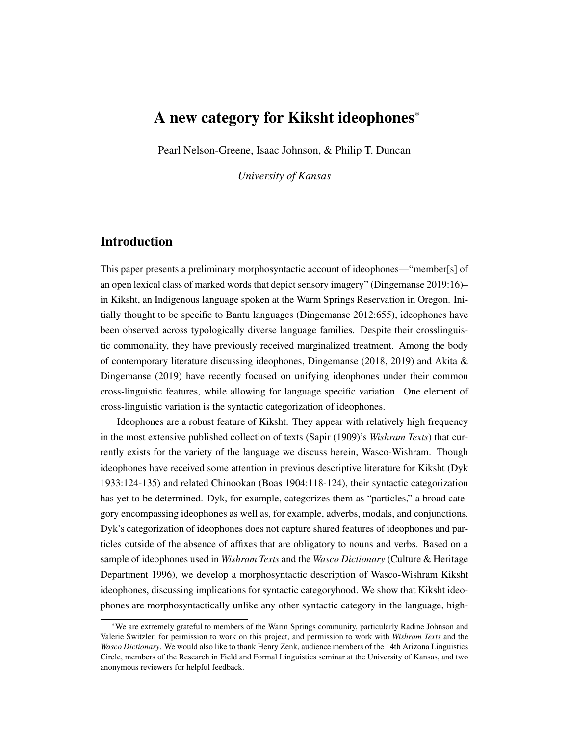# A new category for Kiksht ideophones\*

Pearl Nelson-Greene, Isaac Johnson, & Philip T. Duncan

*University of Kansas*

## Introduction

This paper presents a preliminary morphosyntactic account of ideophones—"member[s] of an open lexical class of marked words that depict sensory imagery" (Dingemanse 2019:16)– in Kiksht, an Indigenous language spoken at the Warm Springs Reservation in Oregon. Initially thought to be specific to Bantu languages (Dingemanse 2012:655), ideophones have been observed across typologically diverse language families. Despite their crosslinguistic commonality, they have previously received marginalized treatment. Among the body of contemporary literature discussing ideophones, Dingemanse (2018, 2019) and Akita  $\&$ Dingemanse (2019) have recently focused on unifying ideophones under their common cross-linguistic features, while allowing for language specific variation. One element of cross-linguistic variation is the syntactic categorization of ideophones.

Ideophones are a robust feature of Kiksht. They appear with relatively high frequency in the most extensive published collection of texts (Sapir (1909)'s *Wishram Texts*) that currently exists for the variety of the language we discuss herein, Wasco-Wishram. Though ideophones have received some attention in previous descriptive literature for Kiksht (Dyk 1933:124-135) and related Chinookan (Boas 1904:118-124), their syntactic categorization has yet to be determined. Dyk, for example, categorizes them as "particles," a broad category encompassing ideophones as well as, for example, adverbs, modals, and conjunctions. Dyk's categorization of ideophones does not capture shared features of ideophones and particles outside of the absence of affixes that are obligatory to nouns and verbs. Based on a sample of ideophones used in *Wishram Texts* and the *Wasco Dictionary* (Culture & Heritage Department 1996), we develop a morphosyntactic description of Wasco-Wishram Kiksht ideophones, discussing implications for syntactic categoryhood. We show that Kiksht ideophones are morphosyntactically unlike any other syntactic category in the language, high-

<sup>\*</sup>We are extremely grateful to members of the Warm Springs community, particularly Radine Johnson and Valerie Switzler, for permission to work on this project, and permission to work with *Wishram Texts* and the *Wasco Dictionary*. We would also like to thank Henry Zenk, audience members of the 14th Arizona Linguistics Circle, members of the Research in Field and Formal Linguistics seminar at the University of Kansas, and two anonymous reviewers for helpful feedback.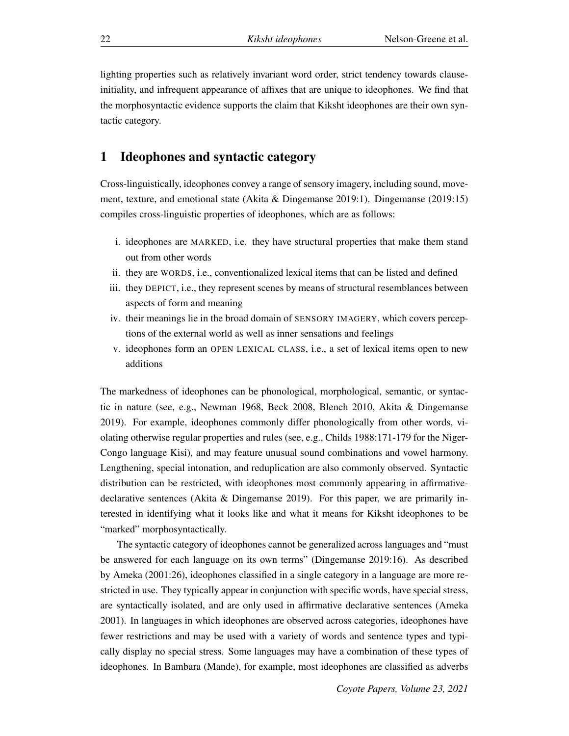lighting properties such as relatively invariant word order, strict tendency towards clauseinitiality, and infrequent appearance of affixes that are unique to ideophones. We find that the morphosyntactic evidence supports the claim that Kiksht ideophones are their own syntactic category.

#### 1 Ideophones and syntactic category

Cross-linguistically, ideophones convey a range of sensory imagery, including sound, movement, texture, and emotional state (Akita & Dingemanse 2019:1). Dingemanse (2019:15) compiles cross-linguistic properties of ideophones, which are as follows:

- i. ideophones are MARKED, i.e. they have structural properties that make them stand out from other words
- ii. they are WORDS, i.e., conventionalized lexical items that can be listed and defined
- iii. they DEPICT, i.e., they represent scenes by means of structural resemblances between aspects of form and meaning
- iv. their meanings lie in the broad domain of SENSORY IMAGERY, which covers perceptions of the external world as well as inner sensations and feelings
- v. ideophones form an OPEN LEXICAL CLASS, i.e., a set of lexical items open to new additions

The markedness of ideophones can be phonological, morphological, semantic, or syntactic in nature (see, e.g., Newman 1968, Beck 2008, Blench 2010, Akita & Dingemanse 2019). For example, ideophones commonly differ phonologically from other words, violating otherwise regular properties and rules (see, e.g., Childs 1988:171-179 for the Niger-Congo language Kisi), and may feature unusual sound combinations and vowel harmony. Lengthening, special intonation, and reduplication are also commonly observed. Syntactic distribution can be restricted, with ideophones most commonly appearing in affirmativedeclarative sentences (Akita & Dingemanse 2019). For this paper, we are primarily interested in identifying what it looks like and what it means for Kiksht ideophones to be "marked" morphosyntactically.

The syntactic category of ideophones cannot be generalized across languages and "must be answered for each language on its own terms" (Dingemanse 2019:16). As described by Ameka (2001:26), ideophones classified in a single category in a language are more restricted in use. They typically appear in conjunction with specific words, have special stress, are syntactically isolated, and are only used in affirmative declarative sentences (Ameka 2001). In languages in which ideophones are observed across categories, ideophones have fewer restrictions and may be used with a variety of words and sentence types and typically display no special stress. Some languages may have a combination of these types of ideophones. In Bambara (Mande), for example, most ideophones are classified as adverbs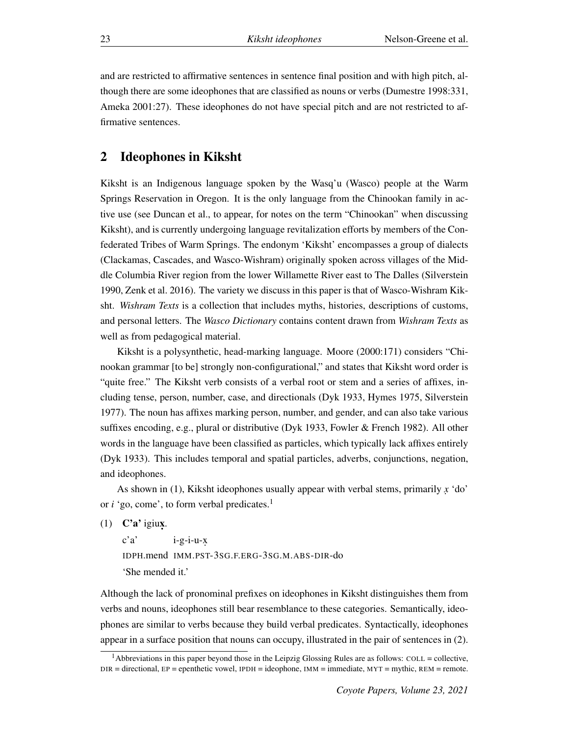and are restricted to affirmative sentences in sentence final position and with high pitch, although there are some ideophones that are classified as nouns or verbs (Dumestre 1998:331, Ameka 2001:27). These ideophones do not have special pitch and are not restricted to affirmative sentences.

#### 2 Ideophones in Kiksht

Kiksht is an Indigenous language spoken by the Wasq'u (Wasco) people at the Warm Springs Reservation in Oregon. It is the only language from the Chinookan family in active use (see Duncan et al., to appear, for notes on the term "Chinookan" when discussing Kiksht), and is currently undergoing language revitalization efforts by members of the Confederated Tribes of Warm Springs. The endonym 'Kiksht' encompasses a group of dialects (Clackamas, Cascades, and Wasco-Wishram) originally spoken across villages of the Middle Columbia River region from the lower Willamette River east to The Dalles (Silverstein 1990, Zenk et al. 2016). The variety we discuss in this paper is that of Wasco-Wishram Kiksht. *Wishram Texts* is a collection that includes myths, histories, descriptions of customs, and personal letters. The *Wasco Dictionary* contains content drawn from *Wishram Texts* as well as from pedagogical material.

Kiksht is a polysynthetic, head-marking language. Moore (2000:171) considers "Chinookan grammar [to be] strongly non-configurational," and states that Kiksht word order is "quite free." The Kiksht verb consists of a verbal root or stem and a series of affixes, including tense, person, number, case, and directionals (Dyk 1933, Hymes 1975, Silverstein 1977). The noun has affixes marking person, number, and gender, and can also take various suffixes encoding, e.g., plural or distributive (Dyk 1933, Fowler & French 1982). All other words in the language have been classified as particles, which typically lack affixes entirely (Dyk 1933). This includes temporal and spatial particles, adverbs, conjunctions, negation, and ideophones.

As shown in (1), Kiksht ideophones usually appear with verbal stems, primarily *x.* 'do' or *i* 'go, come', to form verbal predicates.<sup>1</sup>

(1)  $\mathbf{C}'\mathbf{a}'$  igiux.

c'a' IDPH.mend IMM.PST-3SG.F.ERG-3SG.M.ABS-DIR-do  $i-g-i-u-x$ 'She mended it.'

Although the lack of pronominal prefixes on ideophones in Kiksht distinguishes them from verbs and nouns, ideophones still bear resemblance to these categories. Semantically, ideophones are similar to verbs because they build verbal predicates. Syntactically, ideophones appear in a surface position that nouns can occupy, illustrated in the pair of sentences in (2).

<sup>&</sup>lt;sup>1</sup>Abbreviations in this paper beyond those in the Leipzig Glossing Rules are as follows: COLL = collective, DIR = directional, EP = epenthetic vowel, IPDH = ideophone, IMM = immediate, MYT = mythic, REM = remote.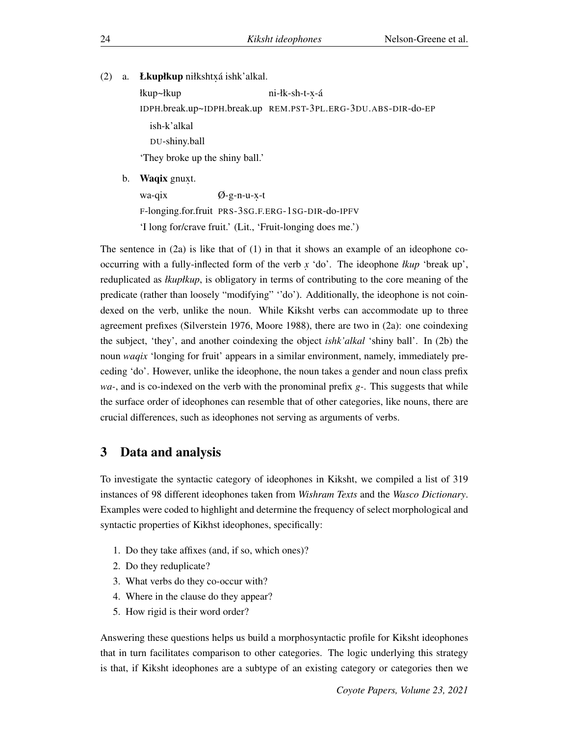(2) a. Łkupłkup niłkshtxá ishk'alkal.

łkup~łkup IDPH.break.up~IDPH.break.up REM.PST-3PL.ERG-3DU.ABS-DIR-do-EP ni-łk-sh-t-<mark>x-</mark>á ish-k'alkal DU-shiny.ball 'They broke up the shiny ball.' b. **Waqix** gnuxt.

wa-qix F-longing.for.fruit PRS-3SG.F.ERG-1SG-DIR-do-IPFV Ø-g-n-u-x-t 'I long for/crave fruit.' (Lit., 'Fruit-longing does me.')

The sentence in  $(2a)$  is like that of  $(1)$  in that it shows an example of an ideophone cooccurring with a fully-inflected form of the verb *x.* 'do'. The ideophone *łkup* 'break up', reduplicated as *łkupłkup*, is obligatory in terms of contributing to the core meaning of the predicate (rather than loosely "modifying" ''do'). Additionally, the ideophone is not coindexed on the verb, unlike the noun. While Kiksht verbs can accommodate up to three agreement prefixes (Silverstein 1976, Moore 1988), there are two in (2a): one coindexing the subject, 'they', and another coindexing the object *ishk'alkal* 'shiny ball'. In (2b) the noun *waqix* 'longing for fruit' appears in a similar environment, namely, immediately preceding 'do'. However, unlike the ideophone, the noun takes a gender and noun class prefix *wa-*, and is co-indexed on the verb with the pronominal prefix *g-*. This suggests that while the surface order of ideophones can resemble that of other categories, like nouns, there are crucial differences, such as ideophones not serving as arguments of verbs.

### 3 Data and analysis

To investigate the syntactic category of ideophones in Kiksht, we compiled a list of 319 instances of 98 different ideophones taken from *Wishram Texts* and the *Wasco Dictionary*. Examples were coded to highlight and determine the frequency of select morphological and syntactic properties of Kikhst ideophones, specifically:

- 1. Do they take affixes (and, if so, which ones)?
- 2. Do they reduplicate?
- 3. What verbs do they co-occur with?
- 4. Where in the clause do they appear?
- 5. How rigid is their word order?

Answering these questions helps us build a morphosyntactic profile for Kiksht ideophones that in turn facilitates comparison to other categories. The logic underlying this strategy is that, if Kiksht ideophones are a subtype of an existing category or categories then we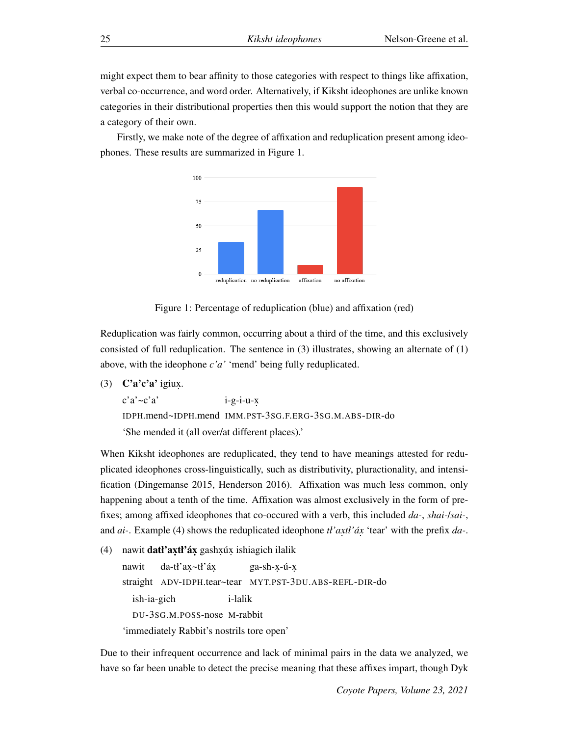might expect them to bear affinity to those categories with respect to things like affixation, verbal co-occurrence, and word order. Alternatively, if Kiksht ideophones are unlike known categories in their distributional properties then this would support the notion that they are a category of their own.

Firstly, we make note of the degree of affixation and reduplication present among ideophones. These results are summarized in Figure 1.



Figure 1: Percentage of reduplication (blue) and affixation (red)

Reduplication was fairly common, occurring about a third of the time, and this exclusively consisted of full reduplication. The sentence in  $(3)$  illustrates, showing an alternate of  $(1)$ above, with the ideophone *c'a'* 'mend' being fully reduplicated.

(3)  $C'a'c'a'$  igiux.

c'a'~c'a' IDPH.mend~IDPH.mend IMM.PST-3SG.F.ERG-3SG.M.ABS-DIR-do  $i-g-i-u-x$ 'She mended it (all over/at different places).'

When Kiksht ideophones are reduplicated, they tend to have meanings attested for reduplicated ideophones cross-linguistically, such as distributivity, pluractionality, and intensification (Dingemanse 2015, Henderson 2016). Affixation was much less common, only happening about a tenth of the time. Affixation was almost exclusively in the form of prefixes; among affixed ideophones that co-occured with a verb, this included *da-*, *shai-*/*sai-*, and *ai*-. Example (4) shows the reduplicated ideophone *tl'axtl'áx* 'tear' with the prefix *da*-.

(4) nawit **datł'axtł'áx** gashxúx ishiagich ilalik

nawit straight ADV-IDPH.tear~tear MYT.PST-3DU.ABS-REFL-DIR-do da-tł'ax~tł'áx ga-sh-x-ú-x ish-ia-gich DU-3SG.M.POSS-nose M-rabbit i-lalik 'immediately Rabbit's nostrils tore open'

Due to their infrequent occurrence and lack of minimal pairs in the data we analyzed, we have so far been unable to detect the precise meaning that these affixes impart, though Dyk

*Coyote Papers, Volume 23, 2021*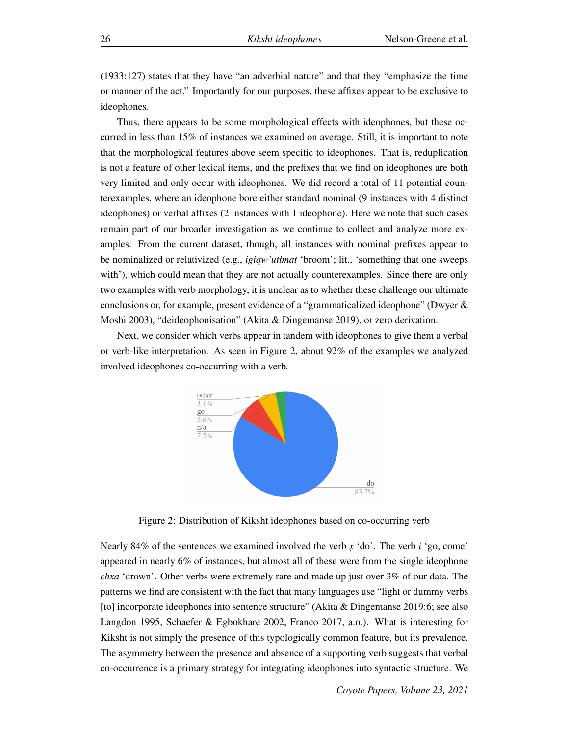(1933:127) states that they have "an adverbial nature" and that they "emphasize the time or manner of the act." Importantly for our purposes, these affixes appear to be exclusive to ideophones.

Thus, there appears to be some morphological effects with ideophones, but these occurred in less than 15% of instances we examined on average. Still, it is important to note that the morphological features above seem specific to ideophones. That is, reduplication is not a feature of other lexical items, and the prefixes that we find on ideophones are both very limited and only occur with ideophones. We did record a total of 11 potential counterexamples, where an ideophone bore either standard nominal (9 instances with 4 distinct ideophones) or verbal affixes (2 instances with 1 ideophone). Here we note that such cases remain part of our broader investigation as we continue to collect and analyze more examples. From the current dataset, though, all instances with nominal prefixes appear to be nominalized or relativized (e.g., *igiqw'utłmat* 'broom'; lit., 'something that one sweeps with'), which could mean that they are not actually counterexamples. Since there are only two examples with verb morphology, it is unclear as to whether these challenge our ultimate conclusions or, for example, present evidence of a "grammaticalized ideophone" (Dwyer & Moshi 2003), "deideophonisation" (Akita & Dingemanse 2019), or zero derivation.

Next, we consider which verbs appear in tandem with ideophones to give them a verbal or verb-like interpretation. As seen in Figure 2, about 92% of the examples we analyzed involved ideophones co-occurring with a verb.



Figure 2: Distribution of Kiksht ideophones based on co-occurring verb

Nearly 84% of the sentences we examined involved the verb *x.* 'do'. The verb *i* 'go, come' appeared in nearly 6% of instances, but almost all of these were from the single ideophone *chxa* 'drown'. Other verbs were extremely rare and made up just over 3% of our data. The patterns we find are consistent with the fact that many languages use "light or dummy verbs [to] incorporate ideophones into sentence structure" (Akita & Dingemanse 2019:6; see also Langdon 1995, Schaefer & Egbokhare 2002, Franco 2017, a.o.). What is interesting for Kiksht is not simply the presence of this typologically common feature, but its prevalence. The asymmetry between the presence and absence of a supporting verb suggests that verbal co-occurrence is a primary strategy for integrating ideophones into syntactic structure. We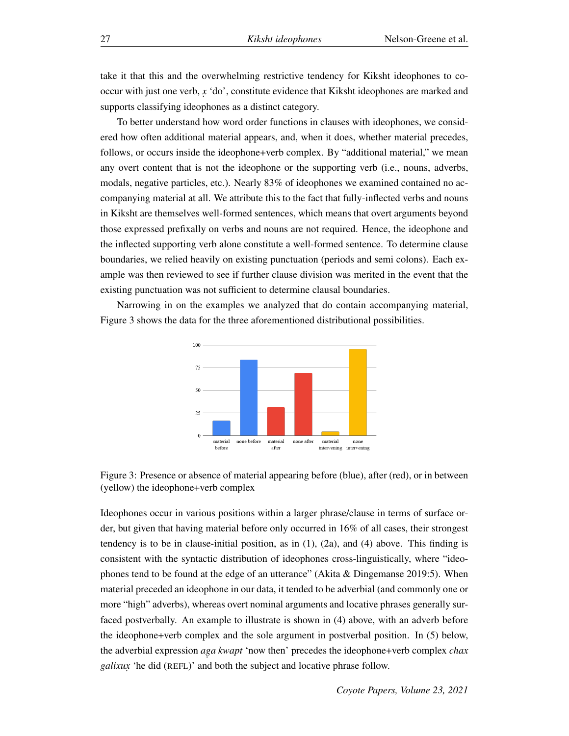take it that this and the overwhelming restrictive tendency for Kiksht ideophones to cooccur with just one verb, *x.* 'do', constitute evidence that Kiksht ideophones are marked and supports classifying ideophones as a distinct category.

To better understand how word order functions in clauses with ideophones, we considered how often additional material appears, and, when it does, whether material precedes, follows, or occurs inside the ideophone+verb complex. By "additional material," we mean any overt content that is not the ideophone or the supporting verb (i.e., nouns, adverbs, modals, negative particles, etc.). Nearly 83% of ideophones we examined contained no accompanying material at all. We attribute this to the fact that fully-inflected verbs and nouns in Kiksht are themselves well-formed sentences, which means that overt arguments beyond those expressed prefixally on verbs and nouns are not required. Hence, the ideophone and the inflected supporting verb alone constitute a well-formed sentence. To determine clause boundaries, we relied heavily on existing punctuation (periods and semi colons). Each example was then reviewed to see if further clause division was merited in the event that the existing punctuation was not sufficient to determine clausal boundaries.

Narrowing in on the examples we analyzed that do contain accompanying material, Figure 3 shows the data for the three aforementioned distributional possibilities.



Figure 3: Presence or absence of material appearing before (blue), after (red), or in between (yellow) the ideophone+verb complex

Ideophones occur in various positions within a larger phrase/clause in terms of surface order, but given that having material before only occurred in 16% of all cases, their strongest tendency is to be in clause-initial position, as in  $(1)$ ,  $(2a)$ , and  $(4)$  above. This finding is consistent with the syntactic distribution of ideophones cross-linguistically, where "ideophones tend to be found at the edge of an utterance" (Akita & Dingemanse 2019:5). When material preceded an ideophone in our data, it tended to be adverbial (and commonly one or more "high" adverbs), whereas overt nominal arguments and locative phrases generally surfaced postverbally. An example to illustrate is shown in (4) above, with an adverb before the ideophone+verb complex and the sole argument in postverbal position. In (5) below, the adverbial expression *aga kwapt* 'now then' precedes the ideophone+verb complex *chax galixux.* 'he did (REFL)' and both the subject and locative phrase follow.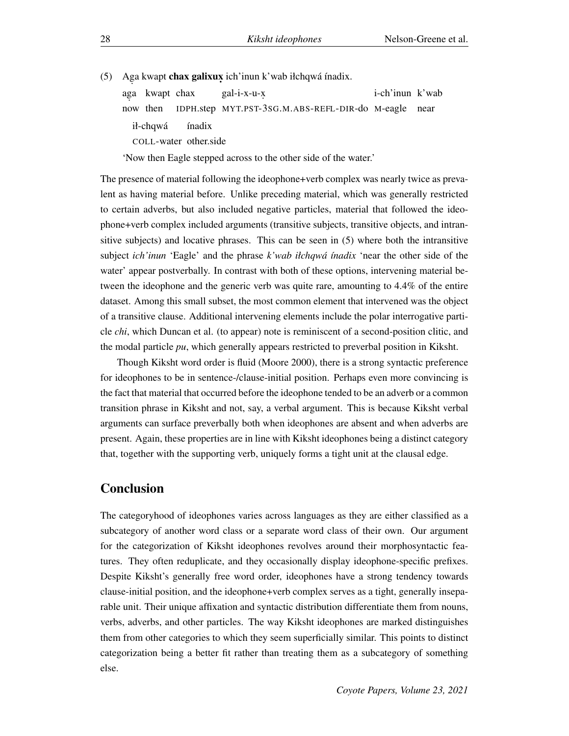(5) Aga kwapt **chax galixux** ich'inun k'wab iłchqwá ínadix.

ag . a kwapt chax now then IDPH.step MYT.PST-3SG.M.ABS-REFL-DIR-do M-eagle near gal-i-x-u-x. i-ch'inun k'wab ił-chqwá COLL-water other.side ínadix

'Now then Eagle stepped across to the other side of the water.'

The presence of material following the ideophone+verb complex was nearly twice as prevalent as having material before. Unlike preceding material, which was generally restricted to certain adverbs, but also included negative particles, material that followed the ideophone+verb complex included arguments (transitive subjects, transitive objects, and intransitive subjects) and locative phrases. This can be seen in (5) where both the intransitive subject *ich'inun* 'Eagle' and the phrase *k'wab iłchqwá ínadix* 'near the other side of the water' appear postverbally. In contrast with both of these options, intervening material between the ideophone and the generic verb was quite rare, amounting to 4.4% of the entire dataset. Among this small subset, the most common element that intervened was the object of a transitive clause. Additional intervening elements include the polar interrogative particle *chi*, which Duncan et al. (to appear) note is reminiscent of a second-position clitic, and the modal particle *pu*, which generally appears restricted to preverbal position in Kiksht.

Though Kiksht word order is fluid (Moore 2000), there is a strong syntactic preference for ideophones to be in sentence-/clause-initial position. Perhaps even more convincing is the fact that material that occurred before the ideophone tended to be an adverb or a common transition phrase in Kiksht and not, say, a verbal argument. This is because Kiksht verbal arguments can surface preverbally both when ideophones are absent and when adverbs are present. Again, these properties are in line with Kiksht ideophones being a distinct category that, together with the supporting verb, uniquely forms a tight unit at the clausal edge.

#### Conclusion

The categoryhood of ideophones varies across languages as they are either classified as a subcategory of another word class or a separate word class of their own. Our argument for the categorization of Kiksht ideophones revolves around their morphosyntactic features. They often reduplicate, and they occasionally display ideophone-specific prefixes. Despite Kiksht's generally free word order, ideophones have a strong tendency towards clause-initial position, and the ideophone+verb complex serves as a tight, generally inseparable unit. Their unique affixation and syntactic distribution differentiate them from nouns, verbs, adverbs, and other particles. The way Kiksht ideophones are marked distinguishes them from other categories to which they seem superficially similar. This points to distinct categorization being a better fit rather than treating them as a subcategory of something else.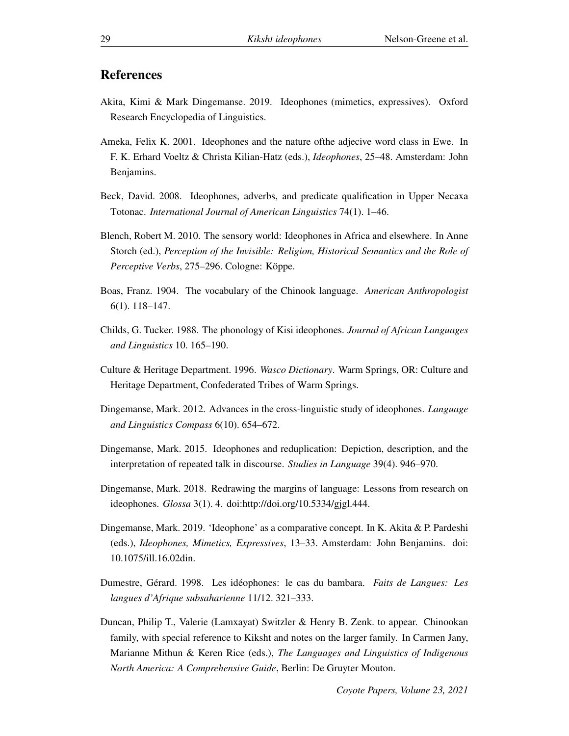#### References

- Akita, Kimi & Mark Dingemanse. 2019. Ideophones (mimetics, expressives). Oxford Research Encyclopedia of Linguistics.
- Ameka, Felix K. 2001. Ideophones and the nature ofthe adjecive word class in Ewe. In F. K. Erhard Voeltz & Christa Kilian-Hatz (eds.), *Ideophones*, 25–48. Amsterdam: John Benjamins.
- Beck, David. 2008. Ideophones, adverbs, and predicate qualification in Upper Necaxa Totonac. *International Journal of American Linguistics* 74(1). 1–46.
- Blench, Robert M. 2010. The sensory world: Ideophones in Africa and elsewhere. In Anne Storch (ed.), *Perception of the Invisible: Religion, Historical Semantics and the Role of Perceptive Verbs*, 275–296. Cologne: Köppe.
- Boas, Franz. 1904. The vocabulary of the Chinook language. *American Anthropologist* 6(1). 118–147.
- Childs, G. Tucker. 1988. The phonology of Kisi ideophones. *Journal of African Languages and Linguistics* 10. 165–190.
- Culture & Heritage Department. 1996. *Wasco Dictionary*. Warm Springs, OR: Culture and Heritage Department, Confederated Tribes of Warm Springs.
- Dingemanse, Mark. 2012. Advances in the cross-linguistic study of ideophones. *Language and Linguistics Compass* 6(10). 654–672.
- Dingemanse, Mark. 2015. Ideophones and reduplication: Depiction, description, and the interpretation of repeated talk in discourse. *Studies in Language* 39(4). 946–970.
- Dingemanse, Mark. 2018. Redrawing the margins of language: Lessons from research on ideophones. *Glossa* 3(1). 4. doi:http://doi.org/10.5334/gjgl.444.
- Dingemanse, Mark. 2019. 'Ideophone' as a comparative concept. In K. Akita & P. Pardeshi (eds.), *Ideophones, Mimetics, Expressives*, 13–33. Amsterdam: John Benjamins. doi: 10.1075/ill.16.02din.
- Dumestre, Gérard. 1998. Les idéophones: le cas du bambara. *Faits de Langues: Les langues d'Afrique subsaharienne* 11/12. 321–333.
- Duncan, Philip T., Valerie (Lamxayat) Switzler & Henry B. Zenk. to appear. Chinookan family, with special reference to Kiksht and notes on the larger family. In Carmen Jany, Marianne Mithun & Keren Rice (eds.), *The Languages and Linguistics of Indigenous North America: A Comprehensive Guide*, Berlin: De Gruyter Mouton.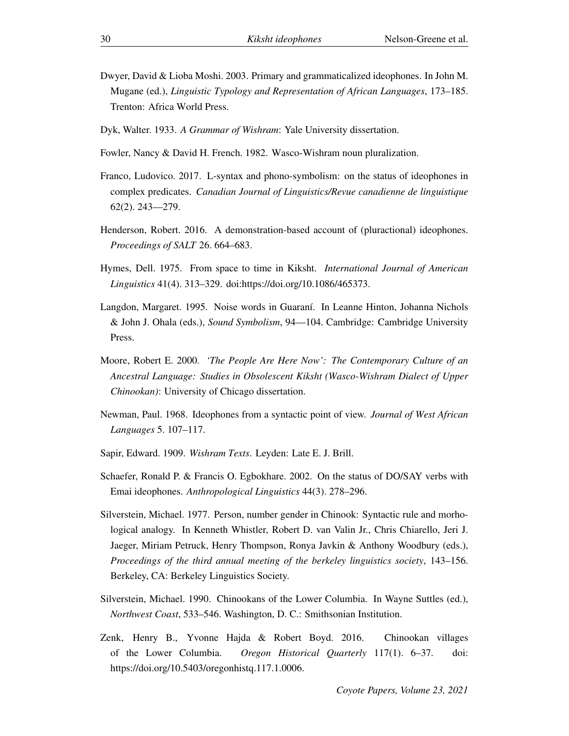- Dwyer, David & Lioba Moshi. 2003. Primary and grammaticalized ideophones. In John M. Mugane (ed.), *Linguistic Typology and Representation of African Languages*, 173–185. Trenton: Africa World Press.
- Dyk, Walter. 1933. *A Grammar of Wishram*: Yale University dissertation.
- Fowler, Nancy & David H. French. 1982. Wasco-Wishram noun pluralization.
- Franco, Ludovico. 2017. L-syntax and phono-symbolism: on the status of ideophones in complex predicates. *Canadian Journal of Linguistics/Revue canadienne de linguistique* 62(2). 243––279.
- Henderson, Robert. 2016. A demonstration-based account of (pluractional) ideophones. *Proceedings of SALT* 26. 664–683.
- Hymes, Dell. 1975. From space to time in Kiksht. *International Journal of American Linguistics* 41(4). 313–329. doi:https://doi.org/10.1086/465373.
- Langdon, Margaret. 1995. Noise words in Guaraní. In Leanne Hinton, Johanna Nichols & John J. Ohala (eds.), *Sound Symbolism*, 94––104. Cambridge: Cambridge University Press.
- Moore, Robert E. 2000. *'The People Are Here Now': The Contemporary Culture of an Ancestral Language: Studies in Obsolescent Kiksht (Wasco-Wishram Dialect of Upper Chinookan)*: University of Chicago dissertation.
- Newman, Paul. 1968. Ideophones from a syntactic point of view. *Journal of West African Languages* 5. 107–117.
- Sapir, Edward. 1909. *Wishram Texts*. Leyden: Late E. J. Brill.
- Schaefer, Ronald P. & Francis O. Egbokhare. 2002. On the status of DO/SAY verbs with Emai ideophones. *Anthropological Linguistics* 44(3). 278–296.
- Silverstein, Michael. 1977. Person, number gender in Chinook: Syntactic rule and morhological analogy. In Kenneth Whistler, Robert D. van Valin Jr., Chris Chiarello, Jeri J. Jaeger, Miriam Petruck, Henry Thompson, Ronya Javkin & Anthony Woodbury (eds.), *Proceedings of the third annual meeting of the berkeley linguistics society*, 143–156. Berkeley, CA: Berkeley Linguistics Society.
- Silverstein, Michael. 1990. Chinookans of the Lower Columbia. In Wayne Suttles (ed.), *Northwest Coast*, 533–546. Washington, D. C.: Smithsonian Institution.
- Zenk, Henry B., Yvonne Hajda & Robert Boyd. 2016. Chinookan villages of the Lower Columbia. *Oregon Historical Quarterly* 117(1). 6–37. doi: https://doi.org/10.5403/oregonhistq.117.1.0006.